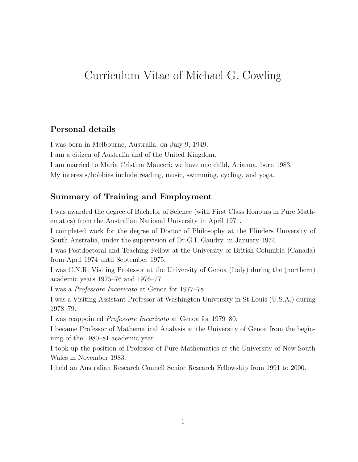# Curriculum Vitae of Michael G. Cowling

## **Personal details**

I was born in Melbourne, Australia, on July 9, 1949.

I am a citizen of Australia and of the United Kingdom.

I am married to Maria Cristina Mauceri; we have one child, Arianna, born 1983.

My interests/hobbies include reading, music, swimming, cycling, and yoga.

## **Summary of Training and Employment**

I was awarded the degree of Bachelor of Science (with First Class Honours in Pure Mathematics) from the Australian National University in April 1971.

I completed work for the degree of Doctor of Philosophy at the Flinders University of South Australia, under the supervision of Dr G.I. Gaudry, in January 1974.

I was Postdoctoral and Teaching Fellow at the University of British Columbia (Canada) from April 1974 until September 1975.

I was C.N.R. Visiting Professor at the University of Genoa (Italy) during the (northern) academic years 1975–76 and 1976–77.

I was a *Professore Incaricato* at Genoa for 1977–78.

I was a Visiting Assistant Professor at Washington University in St Louis (U.S.A.) during 1978–79.

I was reappointed *Professore Incaricato* at Genoa for 1979–80.

I became Professor of Mathematical Analysis at the University of Genoa from the beginning of the 1980–81 academic year.

I took up the position of Professor of Pure Mathematics at the University of New South Wales in November 1983.

I held an Australian Research Council Senior Research Fellowship from 1991 to 2000.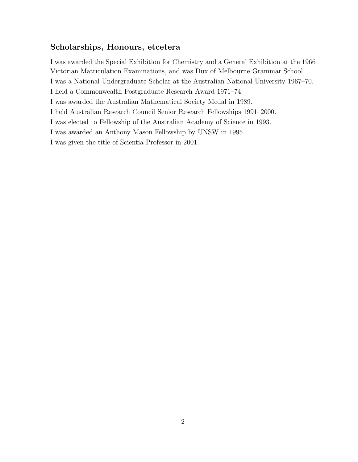### **Scholarships, Honours, etcetera**

I was awarded the Special Exhibition for Chemistry and a General Exhibition at the 1966 Victorian Matriculation Examinations, and was Dux of Melbourne Grammar School. I was a National Undergraduate Scholar at the Australian National University 1967–70. I held a Commonwealth Postgraduate Research Award 1971–74. I was awarded the Australian Mathematical Society Medal in 1989. I held Australian Research Council Senior Research Fellowships 1991–2000. I was elected to Fellowship of the Australian Academy of Science in 1993. I was awarded an Anthony Mason Fellowship by UNSW in 1995. I was given the title of Scientia Professor in 2001.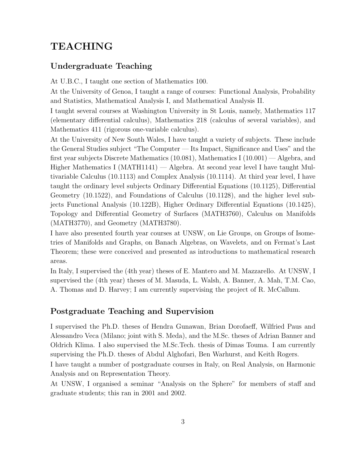# **TEACHING**

## **Undergraduate Teaching**

At U.B.C., I taught one section of Mathematics 100.

At the University of Genoa, I taught a range of courses: Functional Analysis, Probability and Statistics, Mathematical Analysis I, and Mathematical Analysis II.

I taught several courses at Washington University in St Louis, namely, Mathematics 117 (elementary differential calculus), Mathematics 218 (calculus of several variables), and Mathematics 411 (rigorous one-variable calculus).

At the University of New South Wales, I have taught a variety of subjects. These include the General Studies subject "The Computer — Its Impact, Significance and Uses" and the first year subjects Discrete Mathematics (10.081), Mathematics I (10.001) — Algebra, and Higher Mathematics I (MATH1141) — Algebra. At second year level I have taught Multivariable Calculus (10.1113) and Complex Analysis (10.1114). At third year level, I have taught the ordinary level subjects Ordinary Differential Equations (10.1125), Differential Geometry (10.1522), and Foundations of Calculus (10.1128), and the higher level subjects Functional Analysis (10.122B), Higher Ordinary Differential Equations (10.1425), Topology and Differential Geometry of Surfaces (MATH3760), Calculus on Manifolds (MATH3770), and Geometry (MATH3780).

I have also presented fourth year courses at UNSW, on Lie Groups, on Groups of Isometries of Manifolds and Graphs, on Banach Algebras, on Wavelets, and on Fermat's Last Theorem; these were conceived and presented as introductions to mathematical research areas.

In Italy, I supervised the (4th year) theses of E. Mantero and M. Mazzarello. At UNSW, I supervised the (4th year) theses of M. Masuda, L. Walsh, A. Banner, A. Mah, T.M. Cao, A. Thomas and D. Harvey; I am currently supervising the project of R. McCallum.

## **Postgraduate Teaching and Supervision**

I supervised the Ph.D. theses of Hendra Gunawan, Brian Dorofaeff, Wilfried Paus and Alessandro Veca (Milano; joint with S. Meda), and the M.Sc. theses of Adrian Banner and Oldrich Klima. I also supervised the M.Sc.Tech. thesis of Dimas Touma. I am currently supervising the Ph.D. theses of Abdul Alghofari, Ben Warhurst, and Keith Rogers.

I have taught a number of postgraduate courses in Italy, on Real Analysis, on Harmonic Analysis and on Representation Theory.

At UNSW, I organised a seminar "Analysis on the Sphere" for members of staff and graduate students; this ran in 2001 and 2002.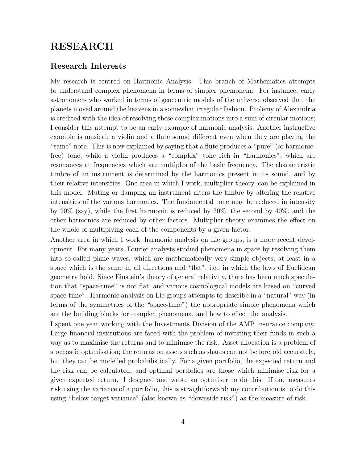## **RESEARCH**

#### **Research Interests**

My research is centred on Harmonic Analysis. This branch of Mathematics attempts to understand complex phenomena in terms of simpler phemonena. For instance, early astronomers who worked in terms of geocentric models of the universe observed that the planets moved around the heavens in a somewhat irregular fashion. Ptolemy of Alexandria is credited with the idea of resolving these complex motions into a sum of circular motions; I consider this attempt to be an early example of harmonic analysis. Another instructive example is musical; a violin and a flute sound different even when they are playing the "same" note. This is now explained by saying that a flute produces a "pure" (or harmonicfree) tone, while a violin produces a "complex" tone rich in "harmonics", which are resonances at frequencies which are multiples of the basic frequency. The characteristic timbre of an instrument is determined by the harmonics present in its sound, and by their relative intensities. One area in which I work, multiplier theory, can be explained in this model. Muting or damping an instrument alters the timbre by altering the relative intensities of the various harmonics. The fundamental tone may be reduced in intensity by 20% (say), while the first harmonic is reduced by 30%, the second by 40%, and the other harmonics are reduced by other factors. Multiplier theory examines the effect on the whole of multiplying each of the components by a given factor.

Another area in which I work, harmonic analysis on Lie groups, is a more recent development. For many years, Fourier analysts studied phenomena in space by resolving them into so-called plane waves, which are mathematically very simple objects, at least in a space which is the same in all directions and "flat", i.e., in which the laws of Euclidean geometry hold. Since Einstein's theory of general relativity, there has been much speculation that "space-time" is not flat, and various cosmological models are based on "curved space-time". Harmonic analysis on Lie groups attempts to describe in a "natural" way (in terms of the symmetries of the "space-time") the appropriate simple phenomena which are the building blocks for complex phenomena, and how to effect the analysis.

I spent one year working with the Investments Division of the AMP insurance company. Large financial institutions are faced with the problem of investing their funds in such a way as to maximise the returns and to minimise the risk. Asset allocation is a problem of stochastic optimisation; the returns on assets such as shares can not be foretold accurately, but they can be modelled probabilistically. For a given portfolio, the expected return and the risk can be calculated, and optimal portfolios are those which minimise risk for a given expected return. I designed and wrote an optimiser to do this. If one measures risk using the variance of a portfolio, this is straightforward; my contribution is to do this using "below target variance" (also known as "downside risk") as the measure of risk.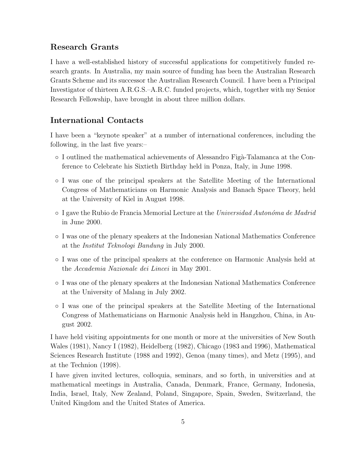## **Research Grants**

I have a well-established history of successful applications for competitively funded research grants. In Australia, my main source of funding has been the Australian Research Grants Scheme and its successor the Australian Research Council. I have been a Principal Investigator of thirteen A.R.G.S.–A.R.C. funded projects, which, together with my Senior Research Fellowship, have brought in about three million dollars.

#### **International Contacts**

I have been a "keynote speaker" at a number of international conferences, including the following, in the last five years:–

- I outlined the mathematical achievements of Alessandro Fig`a-Talamanca at the Conference to Celebrate his Sixtieth Birthday held in Ponza, Italy, in June 1998.
- I was one of the principal speakers at the Satellite Meeting of the International Congress of Mathematicians on Harmonic Analysis and Banach Space Theory, held at the University of Kiel in August 1998.
- I gave the Rubio de Francia Memorial Lecture at the *Universidad Auton´oma de Madrid* in June 2000.
- I was one of the plenary speakers at the Indonesian National Mathematics Conference at the *Institut Teknologi Bandung* in July 2000.
- I was one of the principal speakers at the conference on Harmonic Analysis held at the *Accademia Nazionale dei Lincei* in May 2001.
- I was one of the plenary speakers at the Indonesian National Mathematics Conference at the University of Malang in July 2002.
- I was one of the principal speakers at the Satellite Meeting of the International Congress of Mathematicians on Harmonic Analysis held in Hangzhou, China, in August 2002.

I have held visiting appointments for one month or more at the universities of New South Wales (1981), Nancy I (1982), Heidelberg (1982), Chicago (1983 and 1996), Mathematical Sciences Research Institute (1988 and 1992), Genoa (many times), and Metz (1995), and at the Technion (1998).

I have given invited lectures, colloquia, seminars, and so forth, in universities and at mathematical meetings in Australia, Canada, Denmark, France, Germany, Indonesia, India, Israel, Italy, New Zealand, Poland, Singapore, Spain, Sweden, Switzerland, the United Kingdom and the United States of America.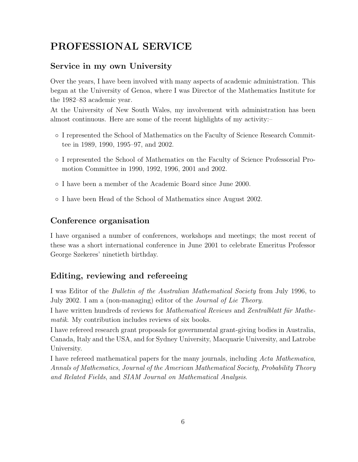# **PROFESSIONAL SERVICE**

## **Service in my own University**

Over the years, I have been involved with many aspects of academic administration. This began at the University of Genoa, where I was Director of the Mathematics Institute for the 1982–83 academic year.

At the University of New South Wales, my involvement with administration has been almost continuous. Here are some of the recent highlights of my activity:–

- I represented the School of Mathematics on the Faculty of Science Research Committee in 1989, 1990, 1995–97, and 2002.
- I represented the School of Mathematics on the Faculty of Science Professorial Promotion Committee in 1990, 1992, 1996, 2001 and 2002.
- I have been a member of the Academic Board since June 2000.
- I have been Head of the School of Mathematics since August 2002.

## **Conference organisation**

I have organised a number of conferences, workshops and meetings; the most recent of these was a short international conference in June 2001 to celebrate Emeritus Professor George Szekeres' ninetieth birthday.

## **Editing, reviewing and refereeing**

I was Editor of the *Bulletin of the Australian Mathematical Society* from July 1996, to July 2002. I am a (non-managing) editor of the *Journal of Lie Theory*.

I have written hundreds of reviews for *Mathematical Reviews* and *Zentralblatt für Mathematik*. My contribution includes reviews of six books.

I have refereed research grant proposals for governmental grant-giving bodies in Australia, Canada, Italy and the USA, and for Sydney University, Macquarie University, and Latrobe University.

I have refereed mathematical papers for the many journals, including *Acta Mathematica*, *Annals of Mathematics*, *Journal of the American Mathematical Society*, *Probability Theory and Related Fields*, and *SIAM Journal on Mathematical Analysis*.